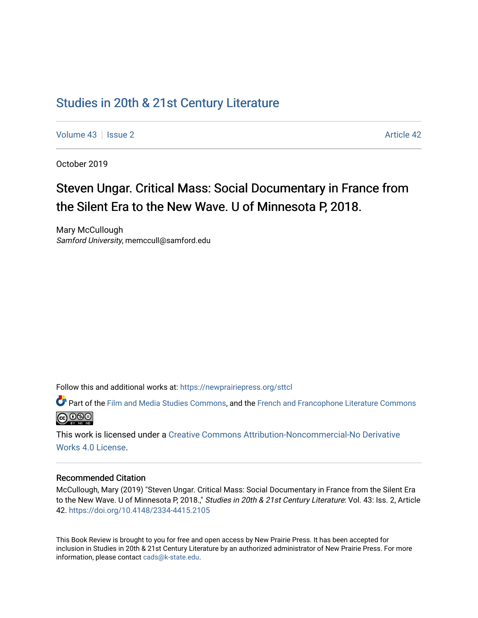## [Studies in 20th & 21st Century Literature](https://newprairiepress.org/sttcl)

[Volume 43](https://newprairiepress.org/sttcl/vol43) | [Issue 2](https://newprairiepress.org/sttcl/vol43/iss2) [Article 42](https://newprairiepress.org/sttcl/vol43/iss2/42) | Article 42 | Article 42 | Article 42 | Article 42

October 2019

# Steven Ungar. Critical Mass: Social Documentary in France from the Silent Era to the New Wave. U of Minnesota P, 2018.

Mary McCullough Samford University, memccull@samford.edu

Follow this and additional works at: [https://newprairiepress.org/sttcl](https://newprairiepress.org/sttcl?utm_source=newprairiepress.org%2Fsttcl%2Fvol43%2Fiss2%2F42&utm_medium=PDF&utm_campaign=PDFCoverPages) 

Part of the [Film and Media Studies Commons,](http://network.bepress.com/hgg/discipline/563?utm_source=newprairiepress.org%2Fsttcl%2Fvol43%2Fiss2%2F42&utm_medium=PDF&utm_campaign=PDFCoverPages) and the [French and Francophone Literature Commons](http://network.bepress.com/hgg/discipline/465?utm_source=newprairiepress.org%2Fsttcl%2Fvol43%2Fiss2%2F42&utm_medium=PDF&utm_campaign=PDFCoverPages) @000

This work is licensed under a [Creative Commons Attribution-Noncommercial-No Derivative](https://creativecommons.org/licenses/by-nc-nd/4.0/)  [Works 4.0 License](https://creativecommons.org/licenses/by-nc-nd/4.0/).

#### Recommended Citation

McCullough, Mary (2019) "Steven Ungar. Critical Mass: Social Documentary in France from the Silent Era to the New Wave. U of Minnesota P, 2018.," Studies in 20th & 21st Century Literature: Vol. 43: Iss. 2, Article 42.<https://doi.org/10.4148/2334-4415.2105>

This Book Review is brought to you for free and open access by New Prairie Press. It has been accepted for inclusion in Studies in 20th & 21st Century Literature by an authorized administrator of New Prairie Press. For more information, please contact [cads@k-state.edu](mailto:cads@k-state.edu).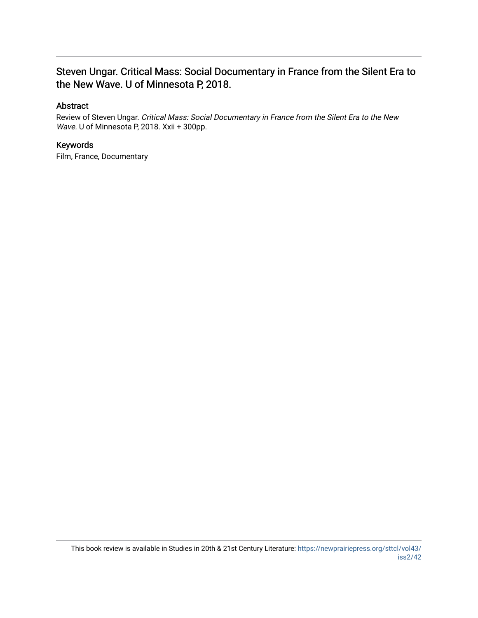### Steven Ungar. Critical Mass: Social Documentary in France from the Silent Era to the New Wave. U of Minnesota P, 2018.

### Abstract

Review of Steven Ungar. Critical Mass: Social Documentary in France from the Silent Era to the New Wave. U of Minnesota P, 2018. Xxii + 300pp.

### Keywords

Film, France, Documentary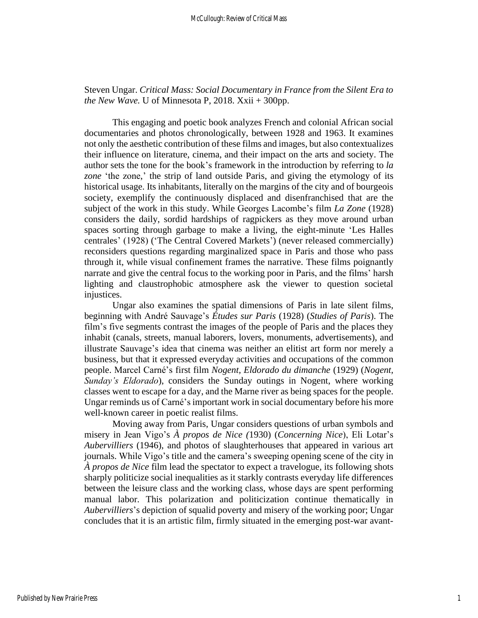### Steven Ungar. *Critical Mass: Social Documentary in France from the Silent Era to the New Wave.* U of Minnesota P, 2018.  $Xxii + 300$ pp.

This engaging and poetic book analyzes French and colonial African social documentaries and photos chronologically, between 1928 and 1963. It examines not only the aesthetic contribution of these films and images, but also contextualizes their influence on literature, cinema, and their impact on the arts and society. The author sets the tone for the book's framework in the introduction by referring to *la*  zone 'the zone,' the strip of land outside Paris, and giving the etymology of its historical usage. Its inhabitants, literally on the margins of the city and of bourgeois society, exemplify the continuously displaced and disenfranchised that are the subject of the work in this study. While Georges Lacombe's film *La Zone* (1928) considers the daily, sordid hardships of ragpickers as they move around urban spaces sorting through garbage to make a living, the eight-minute 'Les Halles centrales' (1928) ('The Central Covered Markets') (never released commercially) reconsiders questions regarding marginalized space in Paris and those who pass through it, while visual confinement frames the narrative. These films poignantly narrate and give the central focus to the working poor in Paris, and the films' harsh lighting and claustrophobic atmosphere ask the viewer to question societal injustices.

Ungar also examines the spatial dimensions of Paris in late silent films, beginning with André Sauvage's *Études sur Paris* (1928) (*Studies of Paris*). The film's five segments contrast the images of the people of Paris and the places they inhabit (canals, streets, manual laborers, lovers, monuments, advertisements), and illustrate Sauvage's idea that cinema was neither an elitist art form nor merely a business, but that it expressed everyday activities and occupations of the common people. Marcel Carné's first film *Nogent, Eldorado du dimanche* (1929) (*Nogent, Sunday's Eldorado*), considers the Sunday outings in Nogent, where working classes went to escape for a day, and the Marne river as being spaces for the people. Ungar reminds us of Carné's important work in social documentary before his more well-known career in poetic realist films.

Moving away from Paris, Ungar considers questions of urban symbols and misery in Jean Vigo's *À propos de Nice (*1930) (*Concerning Nice*), Eli Lotar's *Aubervilliers* (1946), and photos of slaughterhouses that appeared in various art journals. While Vigo's title and the camera's sweeping opening scene of the city in *À propos de Nice* film lead the spectator to expect a travelogue, its following shots sharply politicize social inequalities as it starkly contrasts everyday life differences between the leisure class and the working class, whose days are spent performing manual labor. This polarization and politicization continue thematically in *Aubervilliers*'s depiction of squalid poverty and misery of the working poor; Ungar concludes that it is an artistic film, firmly situated in the emerging post-war avant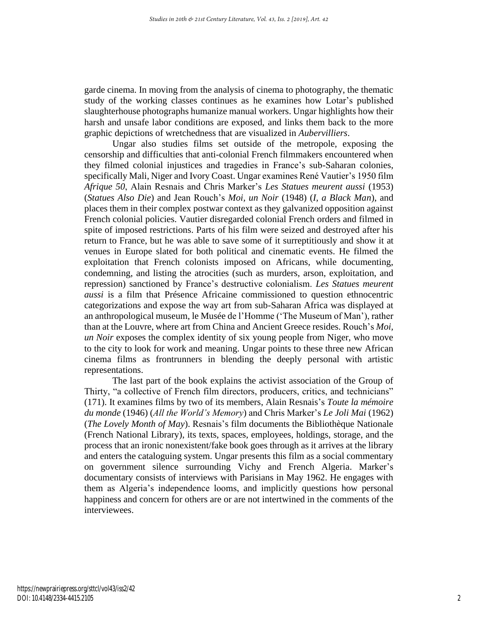garde cinema. In moving from the analysis of cinema to photography, the thematic study of the working classes continues as he examines how Lotar's published slaughterhouse photographs humanize manual workers. Ungar highlights how their harsh and unsafe labor conditions are exposed, and links them back to the more graphic depictions of wretchedness that are visualized in *Aubervilliers*.

Ungar also studies films set outside of the metropole, exposing the censorship and difficulties that anti-colonial French filmmakers encountered when they filmed colonial injustices and tragedies in France's sub-Saharan colonies, specifically Mali, Niger and Ivory Coast. Ungar examines René Vautier's 1950 film *Afrique 50*, Alain Resnais and Chris Marker's *Les Statues meurent aussi* (1953) (*Statues Also Die*) and Jean Rouch's *Moi, un Noir* (1948) (*I, a Black Man*), and places them in their complex postwar context as they galvanized opposition against French colonial policies. Vautier disregarded colonial French orders and filmed in spite of imposed restrictions. Parts of his film were seized and destroyed after his return to France, but he was able to save some of it surreptitiously and show it at venues in Europe slated for both political and cinematic events. He filmed the exploitation that French colonists imposed on Africans, while documenting, condemning, and listing the atrocities (such as murders, arson, exploitation, and repression) sanctioned by France's destructive colonialism. *Les Statues meurent aussi* is a film that Présence Africaine commissioned to question ethnocentric categorizations and expose the way art from sub-Saharan Africa was displayed at an anthropological museum, le Musée de l'Homme ('The Museum of Man'), rather than at the Louvre, where art from China and Ancient Greece resides. Rouch's *Moi, un Noir* exposes the complex identity of six young people from Niger, who move to the city to look for work and meaning. Ungar points to these three new African cinema films as frontrunners in blending the deeply personal with artistic representations.

The last part of the book explains the activist association of the Group of Thirty, "a collective of French film directors, producers, critics, and technicians" (171). It examines films by two of its members, Alain Resnais's *Toute la mémoire du monde* (1946) (*All the World's Memory*) and Chris Marker's *Le Joli Mai* (1962) (*The Lovely Month of May*). Resnais's film documents the Bibliothèque Nationale (French National Library), its texts, spaces, employees, holdings, storage, and the process that an ironic nonexistent/fake book goes through as it arrives at the library and enters the cataloguing system. Ungar presents this film as a social commentary on government silence surrounding Vichy and French Algeria. Marker's documentary consists of interviews with Parisians in May 1962. He engages with them as Algeria's independence looms, and implicitly questions how personal happiness and concern for others are or are not intertwined in the comments of the interviewees.